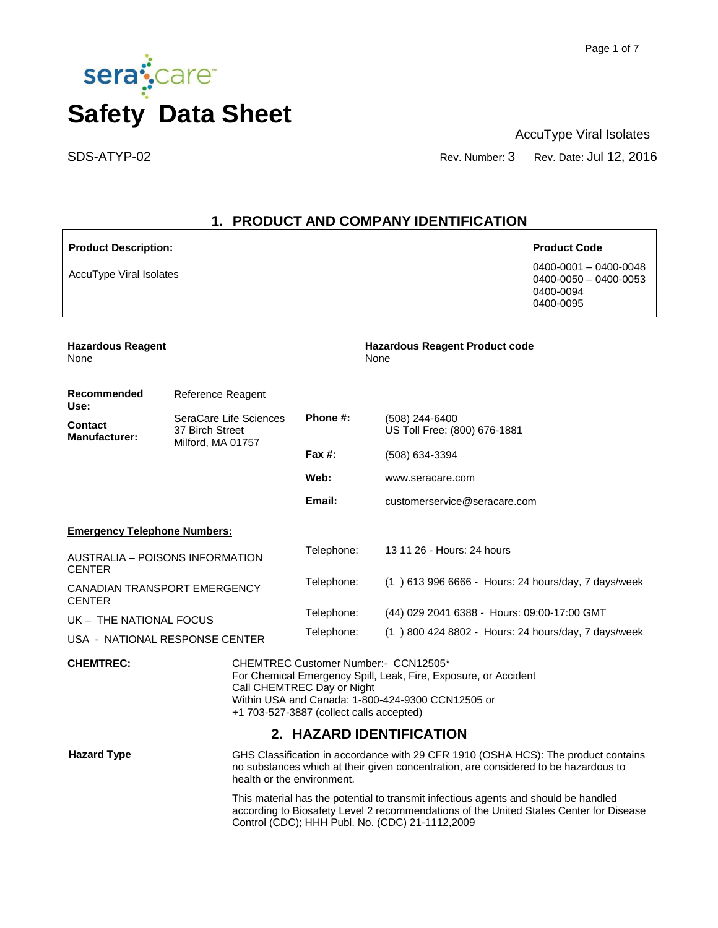

AccuType Viral Isolates

SDS-ATYP-02 Rev. Number: 3 Rev. Date: Jul 12, 2016

# **1. PRODUCT AND COMPANY IDENTIFICATION**

| <b>Product Description:</b>                                                                                                                                                                                                                                |                                           |                                                                                                                                                                                                                                  |                                                                                                                                                                           | <b>Product Code</b>                                                            |
|------------------------------------------------------------------------------------------------------------------------------------------------------------------------------------------------------------------------------------------------------------|-------------------------------------------|----------------------------------------------------------------------------------------------------------------------------------------------------------------------------------------------------------------------------------|---------------------------------------------------------------------------------------------------------------------------------------------------------------------------|--------------------------------------------------------------------------------|
| <b>AccuType Viral Isolates</b>                                                                                                                                                                                                                             |                                           |                                                                                                                                                                                                                                  |                                                                                                                                                                           | 0400-0001 - 0400-0048<br>$0400 - 0050 - 0400 - 0053$<br>0400-0094<br>0400-0095 |
| <b>Hazardous Reagent</b><br>None                                                                                                                                                                                                                           |                                           |                                                                                                                                                                                                                                  | <b>Hazardous Reagent Product code</b><br>None                                                                                                                             |                                                                                |
| <b>Recommended</b><br>Use:                                                                                                                                                                                                                                 | Reference Reagent                         |                                                                                                                                                                                                                                  |                                                                                                                                                                           |                                                                                |
| <b>Contact</b><br><b>Manufacturer:</b>                                                                                                                                                                                                                     | SeraCare Life Sciences<br>37 Birch Street | Phone #:                                                                                                                                                                                                                         | (508) 244-6400<br>US Toll Free: (800) 676-1881                                                                                                                            |                                                                                |
|                                                                                                                                                                                                                                                            | Milford, MA 01757                         | Fax $#$ :                                                                                                                                                                                                                        | (508) 634-3394                                                                                                                                                            |                                                                                |
|                                                                                                                                                                                                                                                            |                                           | Web:                                                                                                                                                                                                                             | www.seracare.com                                                                                                                                                          |                                                                                |
|                                                                                                                                                                                                                                                            |                                           | Email:                                                                                                                                                                                                                           | customerservice@seracare.com                                                                                                                                              |                                                                                |
| <b>Emergency Telephone Numbers:</b>                                                                                                                                                                                                                        |                                           |                                                                                                                                                                                                                                  |                                                                                                                                                                           |                                                                                |
| AUSTRALIA – POISONS INFORMATION<br><b>CENTER</b>                                                                                                                                                                                                           |                                           | Telephone:                                                                                                                                                                                                                       | 13 11 26 - Hours: 24 hours                                                                                                                                                |                                                                                |
| CANADIAN TRANSPORT EMERGENCY<br><b>CENTER</b>                                                                                                                                                                                                              |                                           | Telephone:                                                                                                                                                                                                                       | (1) 613 996 6666 - Hours: 24 hours/day, 7 days/week                                                                                                                       |                                                                                |
| UK - THE NATIONAL FOCUS                                                                                                                                                                                                                                    |                                           | Telephone:                                                                                                                                                                                                                       | (44) 029 2041 6388 - Hours: 09:00-17:00 GMT                                                                                                                               |                                                                                |
| USA - NATIONAL RESPONSE CENTER                                                                                                                                                                                                                             |                                           | Telephone:                                                                                                                                                                                                                       | (1) 800 424 8802 - Hours: 24 hours/day, 7 days/week                                                                                                                       |                                                                                |
| <b>CHEMTREC:</b><br>CHEMTREC Customer Number:- CCN12505*<br>For Chemical Emergency Spill, Leak, Fire, Exposure, or Accident<br>Call CHEMTREC Day or Night<br>Within USA and Canada: 1-800-424-9300 CCN12505 or<br>+1 703-527-3887 (collect calls accepted) |                                           |                                                                                                                                                                                                                                  |                                                                                                                                                                           |                                                                                |
|                                                                                                                                                                                                                                                            |                                           |                                                                                                                                                                                                                                  | 2. HAZARD IDENTIFICATION                                                                                                                                                  |                                                                                |
| <b>Hazard Type</b>                                                                                                                                                                                                                                         | health or the environment.                |                                                                                                                                                                                                                                  | GHS Classification in accordance with 29 CFR 1910 (OSHA HCS): The product contains<br>no substances which at their given concentration, are considered to be hazardous to |                                                                                |
|                                                                                                                                                                                                                                                            |                                           | This material has the potential to transmit infectious agents and should be handled<br>according to Biosafety Level 2 recommendations of the United States Center for Disease<br>Control (CDC); HHH Publ. No. (CDC) 21-1112,2009 |                                                                                                                                                                           |                                                                                |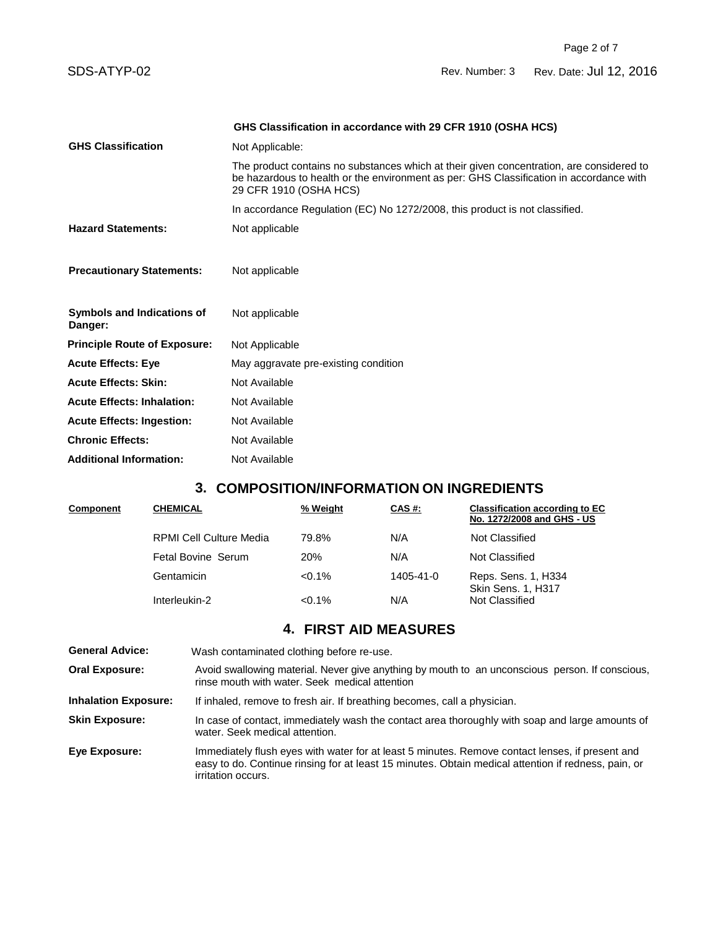SDS-ATYP-02 Rev. Number: 3 Rev. Date: Jul 12, 2016

|                                              | GHS Classification in accordance with 29 CFR 1910 (OSHA HCS)                                                                                                                                                  |  |  |
|----------------------------------------------|---------------------------------------------------------------------------------------------------------------------------------------------------------------------------------------------------------------|--|--|
| <b>GHS Classification</b>                    | Not Applicable:                                                                                                                                                                                               |  |  |
|                                              | The product contains no substances which at their given concentration, are considered to<br>be hazardous to health or the environment as per: GHS Classification in accordance with<br>29 CFR 1910 (OSHA HCS) |  |  |
|                                              | In accordance Regulation (EC) No 1272/2008, this product is not classified.                                                                                                                                   |  |  |
| <b>Hazard Statements:</b>                    | Not applicable                                                                                                                                                                                                |  |  |
| <b>Precautionary Statements:</b>             | Not applicable                                                                                                                                                                                                |  |  |
| <b>Symbols and Indications of</b><br>Danger: | Not applicable                                                                                                                                                                                                |  |  |
| <b>Principle Route of Exposure:</b>          | Not Applicable                                                                                                                                                                                                |  |  |
| <b>Acute Effects: Eye</b>                    | May aggravate pre-existing condition                                                                                                                                                                          |  |  |
| <b>Acute Effects: Skin:</b>                  | Not Available                                                                                                                                                                                                 |  |  |
| <b>Acute Effects: Inhalation:</b>            | Not Available                                                                                                                                                                                                 |  |  |
| <b>Acute Effects: Ingestion:</b>             | Not Available                                                                                                                                                                                                 |  |  |
| <b>Chronic Effects:</b>                      | Not Available                                                                                                                                                                                                 |  |  |
| <b>Additional Information:</b>               | Not Available                                                                                                                                                                                                 |  |  |

# **3. COMPOSITION/INFORMATION ON INGREDIENTS**

| Component | <b>CHEMICAL</b>                | % Weight   | CAS#:     | <b>Classification according to EC</b><br>No. 1272/2008 and GHS - US |
|-----------|--------------------------------|------------|-----------|---------------------------------------------------------------------|
|           | <b>RPMI Cell Culture Media</b> | 79.8%      | N/A       | Not Classified                                                      |
|           | Fetal Bovine Serum             | <b>20%</b> | N/A       | Not Classified                                                      |
|           | Gentamicin                     | $<0.1\%$   | 1405-41-0 | Reps. Sens. 1, H334<br><b>Skin Sens. 1, H317</b>                    |
|           | Interleukin-2                  | $< 0.1\%$  | N/A       | Not Classified                                                      |

# **4. FIRST AID MEASURES**

| <b>General Advice:</b>      | Wash contaminated clothing before re-use.                                                                                                                                                                                           |
|-----------------------------|-------------------------------------------------------------------------------------------------------------------------------------------------------------------------------------------------------------------------------------|
| <b>Oral Exposure:</b>       | Avoid swallowing material. Never give anything by mouth to an unconscious person. If conscious,<br>rinse mouth with water. Seek medical attention                                                                                   |
| <b>Inhalation Exposure:</b> | If inhaled, remove to fresh air. If breathing becomes, call a physician.                                                                                                                                                            |
| <b>Skin Exposure:</b>       | In case of contact, immediately wash the contact area thoroughly with soap and large amounts of<br>water. Seek medical attention.                                                                                                   |
| Eye Exposure:               | Immediately flush eyes with water for at least 5 minutes. Remove contact lenses, if present and<br>easy to do. Continue rinsing for at least 15 minutes. Obtain medical attention if redness, pain, or<br><i>irritation occurs.</i> |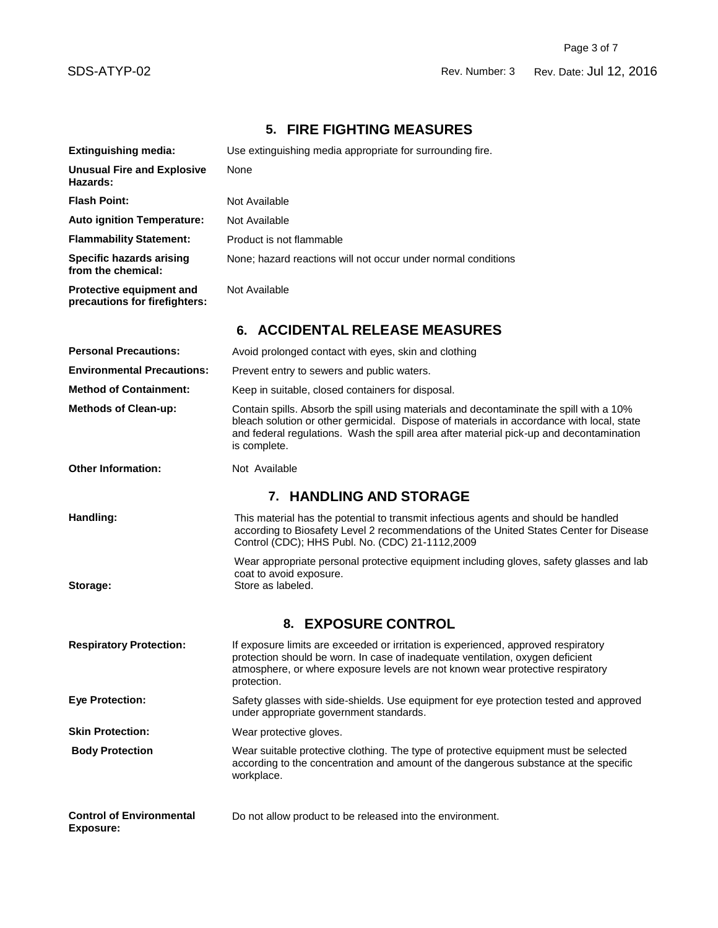# **5. FIRE FIGHTING MEASURES**

| <b>Extinguishing media:</b>                               | Use extinguishing media appropriate for surrounding fire.                                                                                                                                                                                                                                       |  |  |
|-----------------------------------------------------------|-------------------------------------------------------------------------------------------------------------------------------------------------------------------------------------------------------------------------------------------------------------------------------------------------|--|--|
| <b>Unusual Fire and Explosive</b><br>Hazards:             | None                                                                                                                                                                                                                                                                                            |  |  |
| <b>Flash Point:</b>                                       | Not Available                                                                                                                                                                                                                                                                                   |  |  |
| <b>Auto ignition Temperature:</b>                         | Not Available                                                                                                                                                                                                                                                                                   |  |  |
| <b>Flammability Statement:</b>                            | Product is not flammable                                                                                                                                                                                                                                                                        |  |  |
| <b>Specific hazards arising</b><br>from the chemical:     | None; hazard reactions will not occur under normal conditions                                                                                                                                                                                                                                   |  |  |
| Protective equipment and<br>precautions for firefighters: | Not Available                                                                                                                                                                                                                                                                                   |  |  |
|                                                           | 6. ACCIDENTAL RELEASE MEASURES                                                                                                                                                                                                                                                                  |  |  |
| <b>Personal Precautions:</b>                              | Avoid prolonged contact with eyes, skin and clothing                                                                                                                                                                                                                                            |  |  |
| <b>Environmental Precautions:</b>                         | Prevent entry to sewers and public waters.                                                                                                                                                                                                                                                      |  |  |
| <b>Method of Containment:</b>                             | Keep in suitable, closed containers for disposal.                                                                                                                                                                                                                                               |  |  |
| <b>Methods of Clean-up:</b>                               | Contain spills. Absorb the spill using materials and decontaminate the spill with a 10%<br>bleach solution or other germicidal. Dispose of materials in accordance with local, state<br>and federal regulations. Wash the spill area after material pick-up and decontamination<br>is complete. |  |  |
| <b>Other Information:</b>                                 | Not Available                                                                                                                                                                                                                                                                                   |  |  |
| 7. HANDLING AND STORAGE                                   |                                                                                                                                                                                                                                                                                                 |  |  |
| Handling:                                                 | This material has the potential to transmit infectious agents and should be handled<br>according to Biosafety Level 2 recommendations of the United States Center for Disease<br>Control (CDC); HHS Publ. No. (CDC) 21-1112,2009                                                                |  |  |
| Storage:                                                  | Wear appropriate personal protective equipment including gloves, safety glasses and lab<br>coat to avoid exposure.<br>Store as labeled.                                                                                                                                                         |  |  |
|                                                           | 8. EXPOSURE CONTROL                                                                                                                                                                                                                                                                             |  |  |
| <b>Respiratory Protection:</b>                            | If exposure limits are exceeded or irritation is experienced, approved respiratory<br>protection should be worn. In case of inadequate ventilation, oxygen deficient<br>atmosphere, or where exposure levels are not known wear protective respiratory<br>protection.                           |  |  |
| <b>Eye Protection:</b>                                    | Safety glasses with side-shields. Use equipment for eye protection tested and approved<br>under appropriate government standards.                                                                                                                                                               |  |  |
| <b>Skin Protection:</b>                                   | Wear protective gloves.                                                                                                                                                                                                                                                                         |  |  |
| <b>Body Protection</b>                                    | Wear suitable protective clothing. The type of protective equipment must be selected<br>according to the concentration and amount of the dangerous substance at the specific<br>workplace.                                                                                                      |  |  |
| <b>Control of Environmental</b><br><b>Exposure:</b>       | Do not allow product to be released into the environment.                                                                                                                                                                                                                                       |  |  |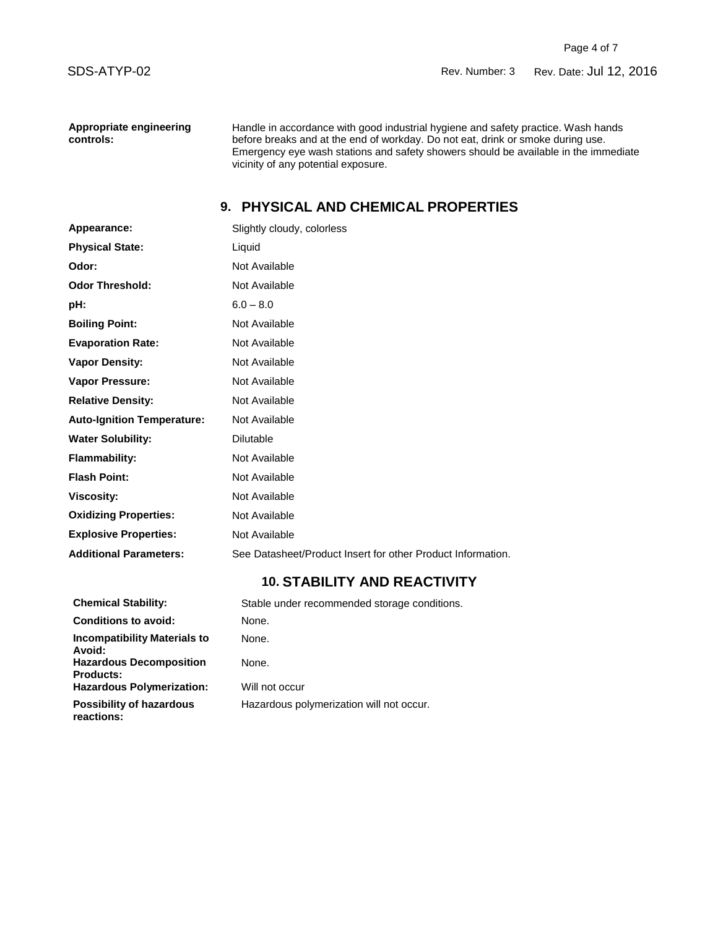**Appropriate engineering controls:**

Handle in accordance with good industrial hygiene and safety practice. Wash hands before breaks and at the end of workday. Do not eat, drink or smoke during use. Emergency eye wash stations and safety showers should be available in the immediate vicinity of any potential exposure.

# **9. PHYSICAL AND CHEMICAL PROPERTIES**

| Appearance:                       | Slightly cloudy, colorless                                  |
|-----------------------------------|-------------------------------------------------------------|
| <b>Physical State:</b>            | Liquid                                                      |
| Odor:                             | Not Available                                               |
| <b>Odor Threshold:</b>            | Not Available                                               |
| pH:                               | $6.0 - 8.0$                                                 |
| <b>Boiling Point:</b>             | Not Available                                               |
| <b>Evaporation Rate:</b>          | Not Available                                               |
| <b>Vapor Density:</b>             | Not Available                                               |
| <b>Vapor Pressure:</b>            | Not Available                                               |
| <b>Relative Density:</b>          | Not Available                                               |
| <b>Auto-Ignition Temperature:</b> | Not Available                                               |
| <b>Water Solubility:</b>          | <b>Dilutable</b>                                            |
| <b>Flammability:</b>              | Not Available                                               |
| <b>Flash Point:</b>               | Not Available                                               |
| <b>Viscosity:</b>                 | Not Available                                               |
| <b>Oxidizing Properties:</b>      | Not Available                                               |
| <b>Explosive Properties:</b>      | Not Available                                               |
| <b>Additional Parameters:</b>     | See Datasheet/Product Insert for other Product Information. |

# **10. STABILITY AND REACTIVITY**

| <b>Chemical Stability:</b>                         | Stable under recommended storage conditions. |
|----------------------------------------------------|----------------------------------------------|
| <b>Conditions to avoid:</b>                        | None.                                        |
| <b>Incompatibility Materials to</b><br>Avoid:      | None.                                        |
| <b>Hazardous Decomposition</b><br><b>Products:</b> | None.                                        |
| <b>Hazardous Polymerization:</b>                   | Will not occur                               |
| <b>Possibility of hazardous</b><br>reactions:      | Hazardous polymerization will not occur.     |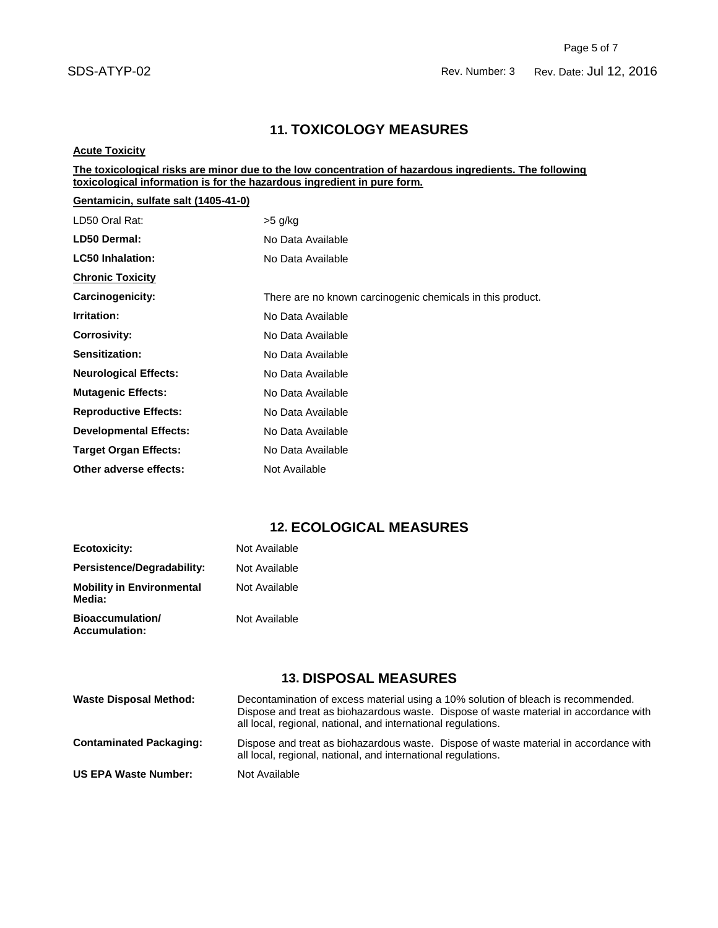## SDS-ATYP-02 Rev. Number: 3 Rev. Date: Jul 12, 2016

## **11. TOXICOLOGY MEASURES**

#### **Acute Toxicity**

#### **The toxicological risks are minor due to the low concentration of hazardous ingredients. The following toxicological information is for the hazardous ingredient in pure form.**

| Gentamicin, sulfate salt (1405-41-0) |                                                            |
|--------------------------------------|------------------------------------------------------------|
| LD50 Oral Rat:                       | >5 g/kg                                                    |
| <b>LD50 Dermal:</b>                  | No Data Available                                          |
| <b>LC50 Inhalation:</b>              | No Data Available                                          |
| <b>Chronic Toxicity</b>              |                                                            |
| Carcinogenicity:                     | There are no known carcinogenic chemicals in this product. |
| Irritation:                          | No Data Available                                          |
| <b>Corrosivity:</b>                  | No Data Available                                          |
| Sensitization:                       | No Data Available                                          |
| <b>Neurological Effects:</b>         | No Data Available                                          |
| <b>Mutagenic Effects:</b>            | No Data Available                                          |
| <b>Reproductive Effects:</b>         | No Data Available                                          |
| <b>Developmental Effects:</b>        | No Data Available                                          |
| <b>Target Organ Effects:</b>         | No Data Available                                          |
| Other adverse effects:               | Not Available                                              |

## **12. ECOLOGICAL MEASURES**

| Ecotoxicity:                               | Not Available |
|--------------------------------------------|---------------|
| Persistence/Degradability:                 | Not Available |
| <b>Mobility in Environmental</b><br>Media: | Not Available |
| Bioaccumulation/<br><b>Accumulation:</b>   | Not Available |

# **13. DISPOSAL MEASURES**

| <b>Waste Disposal Method:</b>  | Decontamination of excess material using a 10% solution of bleach is recommended.<br>Dispose and treat as biohazardous waste. Dispose of waste material in accordance with<br>all local, regional, national, and international regulations. |
|--------------------------------|---------------------------------------------------------------------------------------------------------------------------------------------------------------------------------------------------------------------------------------------|
| <b>Contaminated Packaging:</b> | Dispose and treat as biohazardous waste. Dispose of waste material in accordance with<br>all local, regional, national, and international regulations.                                                                                      |
| <b>US EPA Waste Number:</b>    | Not Available                                                                                                                                                                                                                               |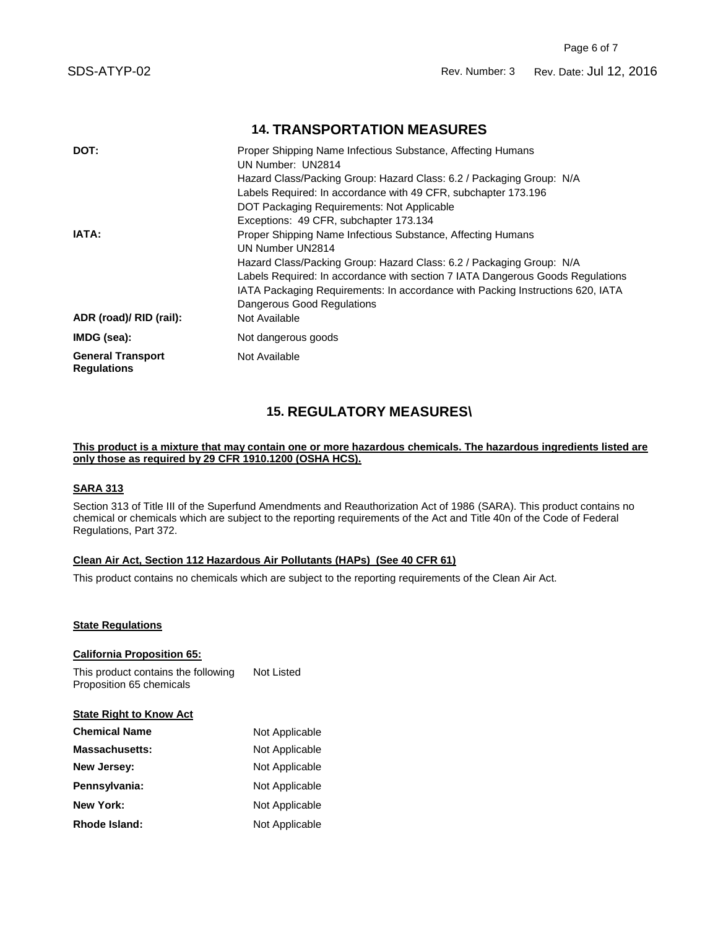# **14. TRANSPORTATION MEASURES**

| DOT:                                           | Proper Shipping Name Infectious Substance, Affecting Humans<br>UN Number: UN2814 |
|------------------------------------------------|----------------------------------------------------------------------------------|
|                                                | Hazard Class/Packing Group: Hazard Class: 6.2 / Packaging Group: N/A             |
|                                                | Labels Required: In accordance with 49 CFR, subchapter 173.196                   |
|                                                | DOT Packaging Requirements: Not Applicable                                       |
|                                                | Exceptions: 49 CFR, subchapter 173.134                                           |
| IATA:                                          | Proper Shipping Name Infectious Substance, Affecting Humans                      |
|                                                | UN Number UN2814                                                                 |
|                                                | Hazard Class/Packing Group: Hazard Class: 6.2 / Packaging Group: N/A             |
|                                                | Labels Required: In accordance with section 7 IATA Dangerous Goods Regulations   |
|                                                | IATA Packaging Reguirements: In accordance with Packing Instructions 620, IATA   |
|                                                | Dangerous Good Regulations                                                       |
| ADR (road)/ RID (rail):                        | Not Available                                                                    |
| IMDG (sea):                                    | Not dangerous goods                                                              |
| <b>General Transport</b><br><b>Regulations</b> | Not Available                                                                    |

# **15. REGULATORY MEASURES\**

#### **This product is a mixture that may contain one or more hazardous chemicals. The hazardous ingredients listed are only those as required by 29 CFR 1910.1200 (OSHA HCS).**

### **SARA 313**

Section 313 of Title III of the Superfund Amendments and Reauthorization Act of 1986 (SARA). This product contains no chemical or chemicals which are subject to the reporting requirements of the Act and Title 40n of the Code of Federal Regulations, Part 372.

#### **Clean Air Act, Section 112 Hazardous Air Pollutants (HAPs) (See 40 CFR 61)**

This product contains no chemicals which are subject to the reporting requirements of the Clean Air Act.

#### **State Regulations**

**California Proposition 65:** This product contains the following Proposition 65 chemicals Not Listed **State Right to Know Act Chemical Name** Not Applicable **Massachusetts:** Not Applicable **New Jersey:** Not Applicable Pennsylvania: Not Applicable **New York:** Not Applicable Rhode Island: Not Applicable